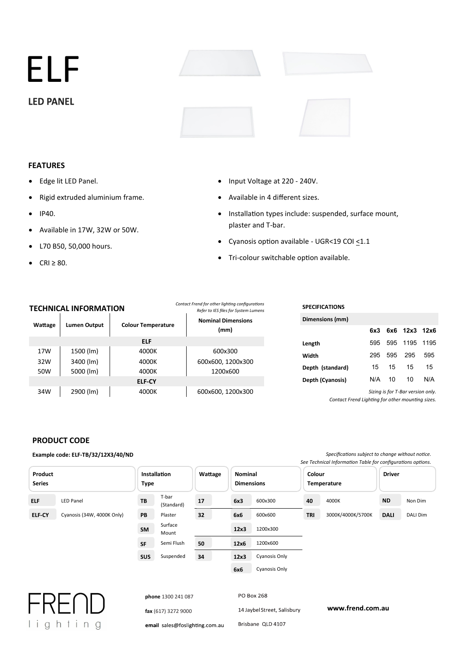ELF **LED PANEL** 

# **FEATURES**

- Edge lit LED Panel.
- Rigid extruded aluminium frame.
- IP40.
- Available in 17W, 32W or 50W.
- L70 B50, 50,000 hours.
- $\bullet$  CRI  $\geq$  80.

**Wattage** 

# **TECHNI**

# • Input Voltage at 220 - 240V.

- Available in 4 different sizes.
- Installation types include: suspended, surface mount, plaster and T-bar.
- Cyanosis option available UGR<19 COI  $\leq$ 1.1
- Tri-colour switchable option available.

| contact richa for other hanting configurations<br><b>CHNICAL INFORMATION</b><br>Refer to IES files for System Lumens |                     |                           |                                   | <b>SPECIFICATIONS</b> |     |     |                                   |      |
|----------------------------------------------------------------------------------------------------------------------|---------------------|---------------------------|-----------------------------------|-----------------------|-----|-----|-----------------------------------|------|
| attage                                                                                                               | <b>Lumen Output</b> | <b>Colour Temperature</b> | <b>Nominal Dimensions</b><br>(mm) | Dimensions (mm)       |     |     |                                   |      |
|                                                                                                                      |                     |                           |                                   |                       | 6x3 | 6x6 | 12x3                              | 12x6 |
|                                                                                                                      |                     | <b>ELF</b>                |                                   | Length                | 595 | 595 | 1195                              | 1195 |
| 17W                                                                                                                  | 1500 (lm)           | 4000K                     | 600x300                           | Width                 | 295 | 595 | 295                               | 595  |
| 32W                                                                                                                  | 3400 (lm)           | 4000K                     | 600x600, 1200x300                 |                       |     |     |                                   |      |
| 50W                                                                                                                  | 5000 (lm)           | 4000K                     | 1200x600                          | Depth (standard)      | 15  | 15  | 15                                | 15   |
|                                                                                                                      |                     | <b>ELF-CY</b>             |                                   | Depth (Cyanosis)      | N/A | 10  | 10                                | N/A  |
| 34W                                                                                                                  | 2900 (lm)           | 4000K                     | 600x600, 1200x300                 |                       |     |     | Sizing is for T-Bar version only. |      |

Cyanosis (34W, 4000K Only) PB Plaster 32 6x6 600x600 TRI 3000K/4000K/5700K DALI DALI Dim

**12x3 6x6**

**12x3 12x6**

Mount **12x3** 1200x300 Semi Flush 50 12x6 1200x600 Suspended 34 12x3 Cyanosis Only

**32**

**50 34**

Surface

**TB PB SM SF**

**SUS**

*Contact Frend Ligh�ng for other moun�ng sizes.*

**DALI**

# **PRODUCT CODE**

**ELF-CY ELF**

**Product Series**

#### **Example code: ELF-TB/32/12X3/40/ND Specifications subject to change without notice.** See Technical Information Table for configurations options. LED Panel T-bar (Standard) 600x300 4000K Non Dim **Nominal Dimensions Installation Type Wattage 17 6x3 40 ND Colour Temperature Driver**

**TRI**



|                                | Cyanosis Only<br>6x6        |                  |
|--------------------------------|-----------------------------|------------------|
|                                |                             |                  |
| phone 1300 241 087             | PO Box 268                  |                  |
| fax (617) 3272 9000            | 14 Jaybel Street, Salisbury | www.frend.com.au |
| email sales@foslighting.com.au | Brisbane QLD 4107           |                  |

*Contact Frend for other lighting configurations*